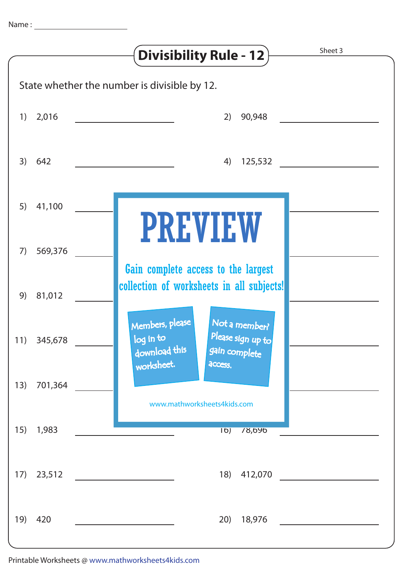|                                              |             | Sheet 3<br><b>Divisibility Rule - 12</b>                                                                                             |
|----------------------------------------------|-------------|--------------------------------------------------------------------------------------------------------------------------------------|
| State whether the number is divisible by 12. |             |                                                                                                                                      |
|                                              | $1)$ 2,016  | 90,948<br>2)<br><u> 1990 - Jan Barbara Barbara, manazarta da kasas da kasas da kasas da kasas da kasas da kasas da kasas da kasa</u> |
| 3)                                           | 642         | 125,532<br>4)                                                                                                                        |
| 5)                                           | 41,100      | <b>PREVIEW</b>                                                                                                                       |
| 7)                                           | 569,376     | Gain complete access to the largest                                                                                                  |
| 9)                                           | 81,012      | collection of worksheets in all subjects!                                                                                            |
|                                              | 11) 345,678 | Members, please<br>Not a member?<br>Please sign up to<br>log in to<br>download this<br>gain complete<br>worksheet.<br>access.        |
| 13)                                          | 701,364     | www.mathworksheets4kids.com                                                                                                          |
| 15)                                          | 1,983       | $\overline{16)}$<br>78,090                                                                                                           |
|                                              | 17) 23,512  | 18)<br>412,070                                                                                                                       |
| 19)                                          | 420         | 20)<br>18,976                                                                                                                        |